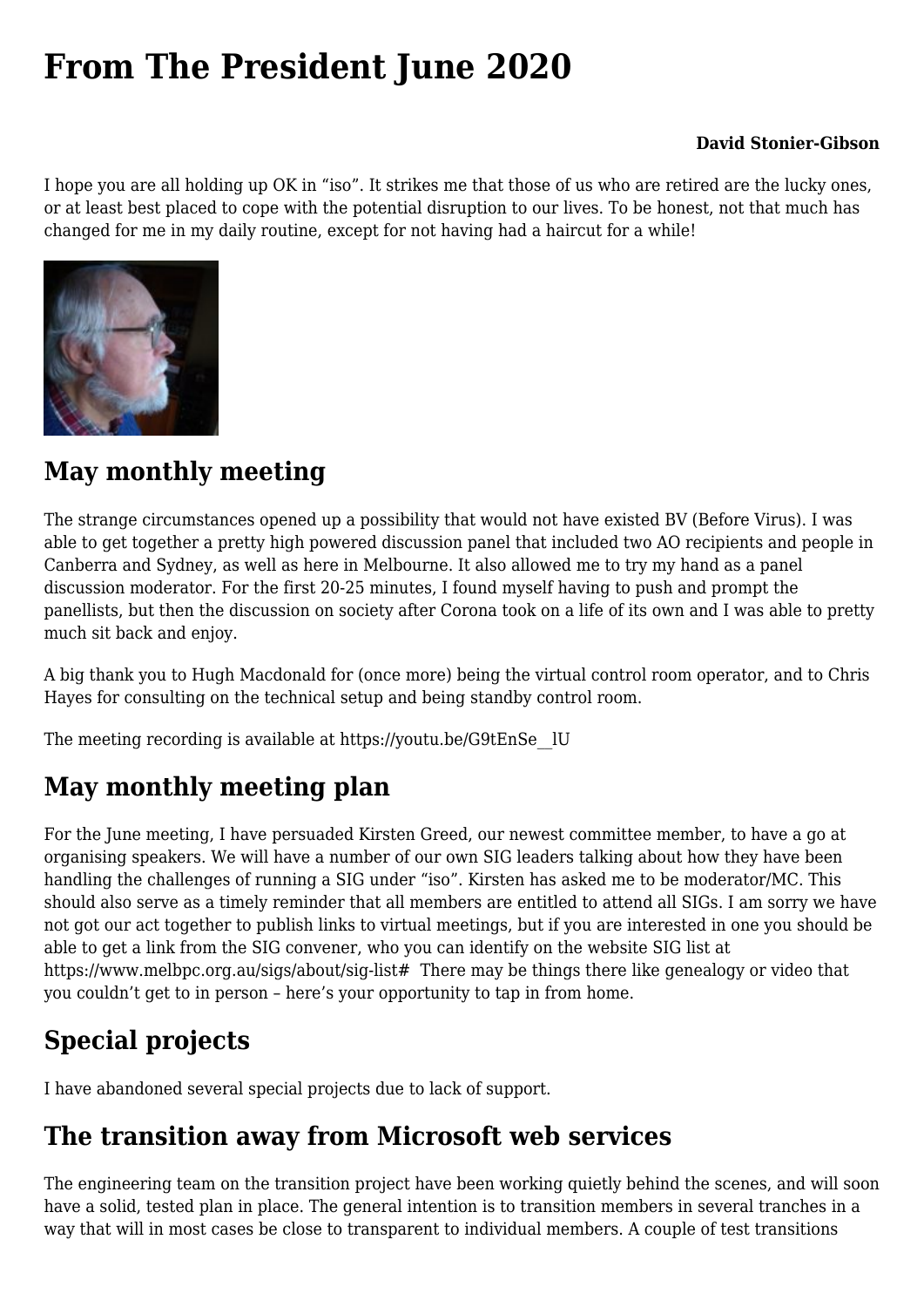# **[From The President June 2020](https://www.melbpc.org.au/from-the-president-june-2020/)**

#### **David Stonier-Gibson**

I hope you are all holding up OK in "iso". It strikes me that those of us who are retired are the lucky ones, or at least best placed to cope with the potential disruption to our lives. To be honest, not that much has changed for me in my daily routine, except for not having had a haircut for a while!



#### **May monthly meeting**

The strange circumstances opened up a possibility that would not have existed BV (Before Virus). I was able to get together a pretty high powered discussion panel that included two AO recipients and people in Canberra and Sydney, as well as here in Melbourne. It also allowed me to try my hand as a panel discussion moderator. For the first 20-25 minutes, I found myself having to push and prompt the panellists, but then the discussion on society after Corona took on a life of its own and I was able to pretty much sit back and enjoy.

A big thank you to Hugh Macdonald for (once more) being the virtual control room operator, and to Chris Hayes for consulting on the technical setup and being standby control room.

The meeting recording is available at [https://youtu.be/G9tEnSe\\_\\_lU](https://youtu.be/G9tEnSe__lU)

### **May monthly meeting plan**

For the June meeting, I have persuaded Kirsten Greed, our newest committee member, to have a go at organising speakers. We will have a number of our own SIG leaders talking about how they have been handling the challenges of running a SIG under "iso". Kirsten has asked me to be moderator/MC. This should also serve as a timely reminder that all members are entitled to attend all SIGs. I am sorry we have not got our act together to publish links to virtual meetings, but if you are interested in one you should be able to get a link from the SIG convener, who you can identify on the website SIG list at <https://www.melbpc.org.au/sigs/about/sig-list>[#](https://www.melbpc.org.au/sigs/about/sig-list#) There may be things there like genealogy or video that you couldn't get to in person – here's your opportunity to tap in from home.

# **Special projects**

I have abandoned several special projects due to lack of support.

# **The transition away from Microsoft web services**

The engineering team on the transition project have been working quietly behind the scenes, and will soon have a solid, tested plan in place. The general intention is to transition members in several tranches in a way that will in most cases be close to transparent to individual members. A couple of test transitions